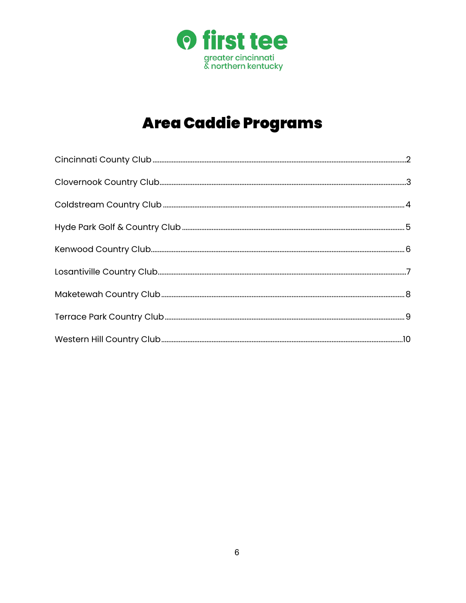

# **Area Caddie Programs**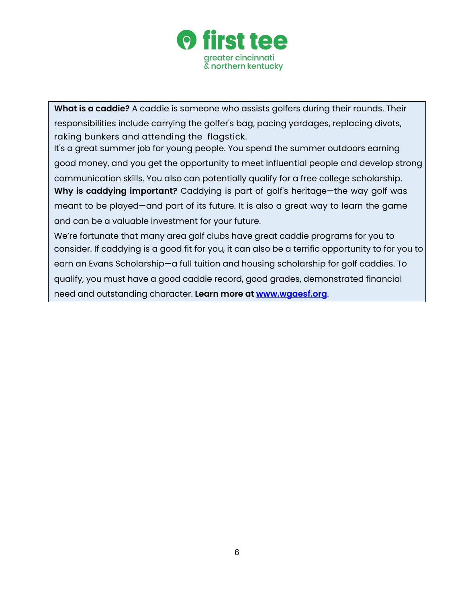

**What is a caddie?** A caddie is someone who assists golfers during their rounds. Their responsibilities include carrying the golfer's bag, pacing yardages, replacing divots, raking bunkers and attending the flagstick.

It's a great summer job for young people. You spend the summer outdoors earning good money, and you get the opportunity to meet influential people and develop strong communication skills. You also can potentially qualify for a free college scholarship. **Why is caddying important?** Caddying is part of golf's heritage—the way golf was meant to be played—and part of its future. It is also a great way to learn the game and can be a valuable investment for your future.

We're fortunate that many area golf clubs have great caddie programs for you to consider. If caddying is a good fit for you, it can also be a terrific opportunity to for you to earn an Evans Scholarship—a full tuition and housing scholarship for golf caddies. To qualify, you must have a good caddie record, good grades, demonstrated financial need and outstanding character. **Learn more at [www.wgaesf.org](http://www.wgaesf.org/)**.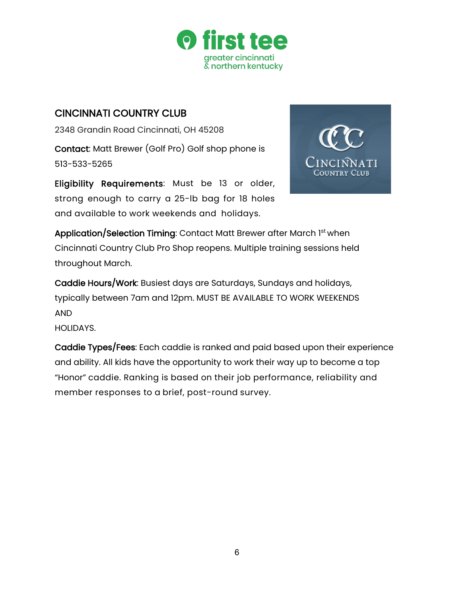

#### CINCINNATI COUNTRY CLUB

2348 Grandin Road Cincinnati, OH 45208 Contact: Matt Brewer (Golf Pro) Golf shop phone is 513-533-5265

Eligibility Requirements: Must be 13 or older, strong enough to carry a 25-lb bag for 18 holes and available to work weekends and holidays.



Application/Selection Timing: Contact Matt Brewer after March 1st when Cincinnati Country Club Pro Shop reopens. Multiple training sessions held throughout March.

Caddie Hours/Work: Busiest days are Saturdays, Sundays and holidays, typically between 7am and 12pm. MUST BE AVAILABLE TO WORK WEEKENDS AND

HOLIDAYS.

Caddie Types/Fees: Each caddie is ranked and paid based upon their experience and ability. All kids have the opportunity to work their way up to become a top "Honor" caddie. Ranking is based on their job performance, reliability and member responses to a brief, post-round survey.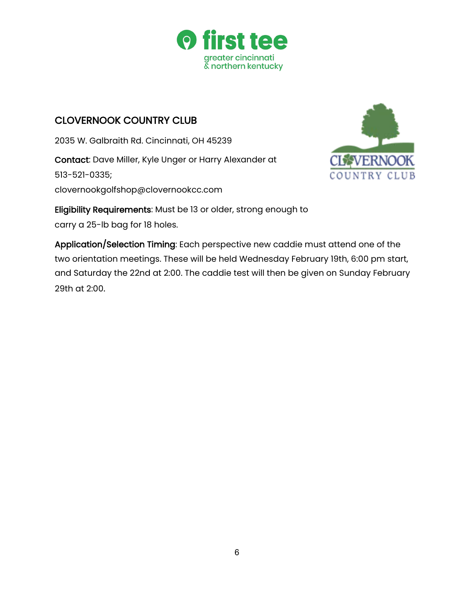

# <span id="page-3-0"></span>CLOVERNOOK COUNTRY CLUB

2035 W. Galbraith Rd. Cincinnati, OH 45239 Contact: Dave Miller, Kyle Unger or Harry Alexander at 513-521-0335; [clovernookgolfshop@clovernookcc.com](mailto:clovernookgolfshop@clovernookcc.com)



Eligibility Requirements: Must be 13 or older, strong enough to carry a 25-lb bag for 18 holes.

Application/Selection Timing: Each perspective new caddie must attend one of the two orientation meetings. These will be held Wednesday February 19th, 6:00 pm start, and Saturday the 22nd at 2:00. The caddie test will then be given on Sunday February 29th at 2:00.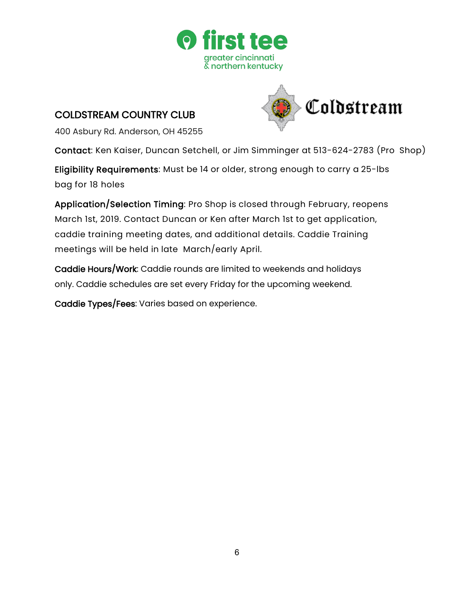

### <span id="page-4-0"></span>COLDSTREAM COUNTRY CLUB



400 Asbury Rd. Anderson, OH 45255

Contact: Ken Kaiser, Duncan Setchell, or Jim Simminger at 513-624-2783 (Pro Shop)

Eligibility Requirements: Must be 14 or older, strong enough to carry a 25-lbs bag for 18 holes

Application/Selection Timing: Pro Shop is closed through February, reopens March 1st, 2019. Contact Duncan or Ken after March 1st to get application, caddie training meeting dates, and additional details. Caddie Training meetings will be held in late March/early April.

Caddie Hours/Work: Caddie rounds are limited to weekends and holidays only. Caddie schedules are set every Friday for the upcoming weekend.

Caddie Types/Fees: Varies based on experience.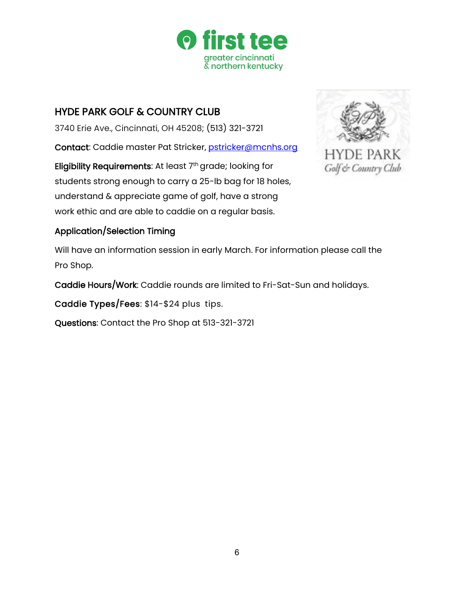

# <span id="page-5-0"></span>HYDE PARK GOLF & COUNTRY CLUB

3740 Erie Ave., Cincinnati, OH 45208; (513) 321-3721

Contact: Caddie master Pat Stricker, [pstricker@mcnhs.org](mailto:pstricker@mcnhs.org)

Eligibility Requirements: At least 7<sup>th</sup> grade; looking for students strong enough to carry a 25-lb bag for 18 holes, understand & appreciate game of golf, have a strong work ethic and are able to caddie on a regular basis.



#### Application/Selection Timing

Will have an information session in early March. For information please call the Pro Shop.

Caddie Hours/Work: Caddie rounds are limited to Fri-Sat-Sun and holidays.

Caddie Types/Fees: \$14-\$24 plus tips.

Questions: Contact the Pro Shop at 513-321-3721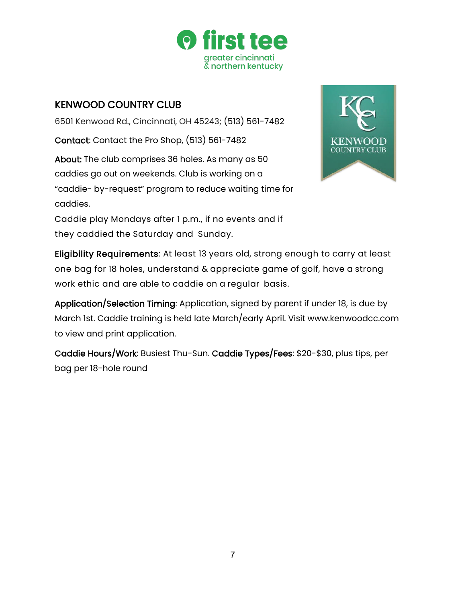

# <span id="page-6-0"></span>KENWOOD COUNTRY CLUB

6501 Kenwood Rd., Cincinnati, OH 45243; (513) 561-7482

Contact: Contact the Pro Shop, (513) 561-7482

About: The club comprises 36 holes. As many as 50 caddies go out on weekends. Club is working on a "caddie- by-request" program to reduce waiting time for caddies.



Caddie play Mondays after 1 p.m., if no events and if they caddied the Saturday and Sunday.



Eligibility Requirements: At least 13 years old, strong enough to carry at least one bag for 18 holes, understand & appreciate game of golf, have a strong work ethic and are able to caddie on a regular basis.

Application/Selection Timing: Application, signed by parent if under 18, is due by March 1st. Caddie training is held late March/early April. Visit [www.kenwoodcc.com](http://www.kenwoodcc.com/)  to view and print application.

Caddie Hours/Work: Busiest Thu-Sun. Caddie Types/Fees: \$20-\$30, plus tips, per bag per 18-hole round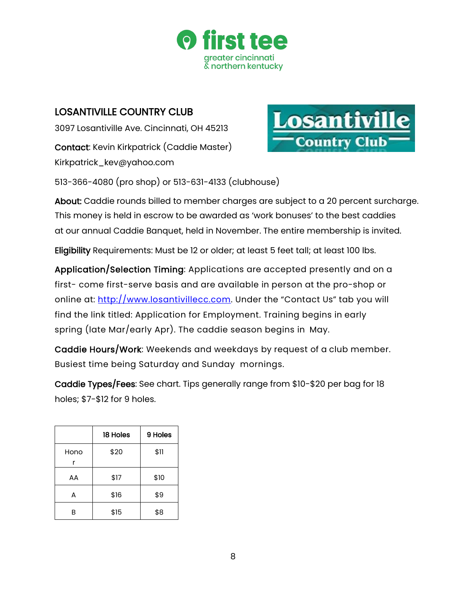

### LOSANTIVILLE COUNTRY CLUB

<span id="page-7-0"></span>3097 Losantiville Ave. Cincinnati, OH 45213 Contact: Kevin Kirkpatrick (Caddie Master[\)](mailto:Kirkpatrick_kev@yahoo.com) [Kirkpatrick\\_kev@yahoo.com](mailto:Kirkpatrick_kev@yahoo.com)



513-366-4080 (pro shop) or 513-631-4133 (clubhouse)

About: Caddie rounds billed to member charges are subject to a 20 percent surcharge. This money is held in escrow to be awarded as 'work bonuses' to the best caddies at our annual Caddie Banquet, held in November. The entire membership is invited.

Eligibility Requirements: Must be 12 or older; at least 5 feet tall; at least 100 lbs.

Application/Selection Timing: Applications are accepted presently and on a first- come first-serve basis and are available in person at the pro-shop or online at: [http://www.losantivillecc.com.](http://www.losantivillecc.com/) Under the "Contact Us" tab you will find the link titled: Application for Employment. Training begins in early spring (late Mar/early Apr). The caddie season begins in May.

Caddie Hours/Work: Weekends and weekdays by request of a club member. Busiest time being Saturday and Sunday mornings.

Caddie Types/Fees: See chart. Tips generally range from \$10-\$20 per bag for 18 holes; \$7-\$12 for 9 holes.

|           | 18 Holes | 9 Holes |
|-----------|----------|---------|
| Hono<br>r | \$20     | \$11    |
| AA        | \$17     | \$10    |
| А         | \$16     | \$9     |
| R         | \$15     | \$8     |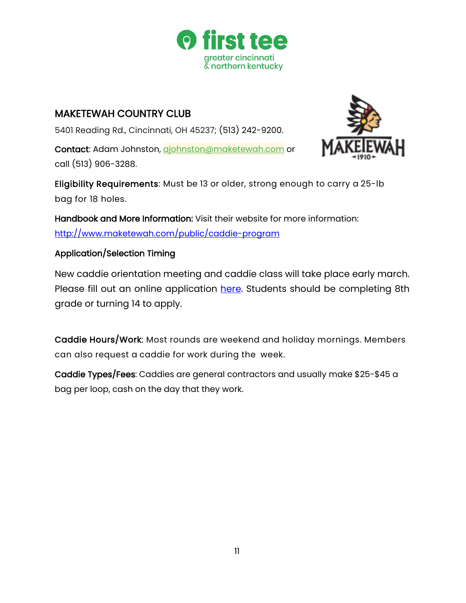

#### <span id="page-8-0"></span>MAKETEWAH COUNTRY CLUB

5401 Reading Rd., Cincinnati, OH 45237; (513) 242-9200.

Contact: Adam Johnston, [ajohnston@maketewah.com](mailto:ajohnston@maketewah.com) or call (513) 906-3288.



Eligibility Requirements: Must be 13 or older, strong enough to carry a 25-lb bag for 18 holes.

Handbook and More Information: Visit their website for more information: <http://www.maketewah.com/public/caddie-program>

#### Application/Selection Timing

New caddie orientation meeting and caddie class will take place early march. Please fill out an online application [here.](https://drive.google.com/open?id=1Zu_mIZ-QMCJ_6zM4BgPo8Q9XTdPNyDueK1ASY1ItteM) Students should be completing 8th grade or turning 14 to apply.

Caddie Hours/Work: Most rounds are weekend and holiday mornings. Members can also request a caddie for work during the week.

Caddie Types/Fees: Caddies are general contractors and usually make \$25-\$45 a bag per loop, cash on the day that they work.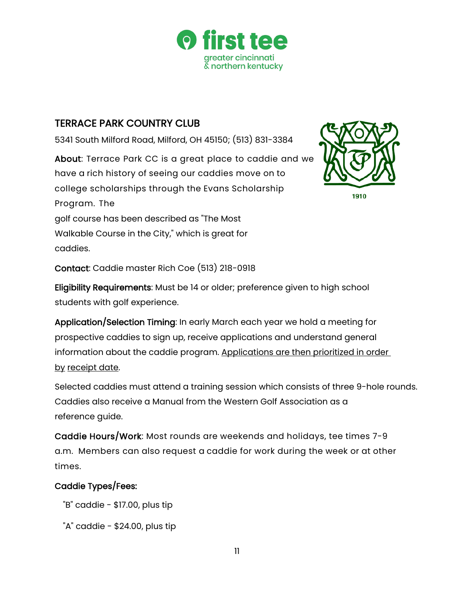

# <span id="page-9-0"></span>TERRACE PARK COUNTRY CLUB

5341 South Milford Road, Milford, OH 45150; (513) 831-3384

About: Terrace Park CC is a great place to caddie and we have a rich history of seeing our caddies move on to college scholarships through the Evans Scholarship Program. The golf course has been described as "The Most Walkable Course in the City," which is great for caddies.



1910

Contact: Caddie master Rich Coe (513) 218-0918

Eligibility Requirements: Must be 14 or older; preference given to high school students with golf experience.

Application/Selection Timing: In early March each year we hold a meeting for prospective caddies to sign up, receive applications and understand general information about the caddie program. Applications are then prioritized in order by receipt date.

Selected caddies must attend a training session which consists of three 9-hole rounds. Caddies also receive a Manual from the Western Golf Association as a reference guide.

Caddie Hours/Work: Most rounds are weekends and holidays, tee times 7-9 a.m. Members can also request a caddie for work during the week or at other times.

#### Caddie Types/Fees:

- "B" caddie \$17.00, plus tip
- " $A$ " caddie \$24.00, plus tip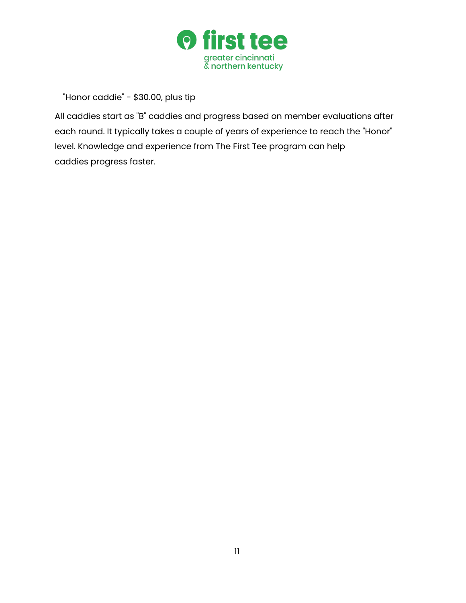

"Honor caddie" - \$30.00, plus tip

All caddies start as "B" caddies and progress based on member evaluations after each round. It typically takes a couple of years of experience to reach the "Honor" level. Knowledge and experience from The First Tee program can help caddies progress faster.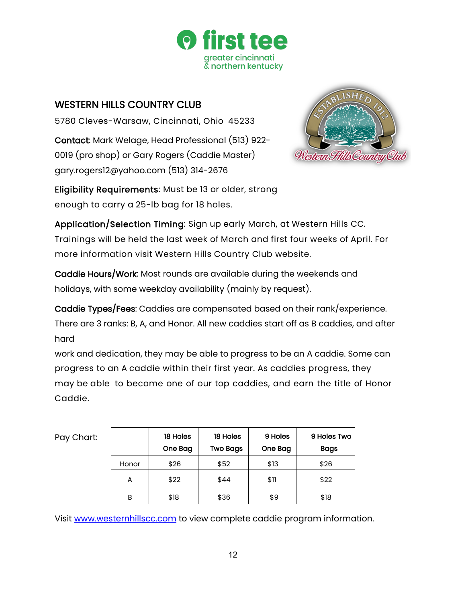

### WESTERN HILLS COUNTRY CLUB

5780 Cleves-Warsaw, Cincinnati, Ohio 45233

Contact: Mark Welage, Head Professional (513) 922- 0019 (pro shop) or Gary Rogers (Caddie Master) [gary.rogers12@yahoo.com \(](mailto:gary.rogers12@yahoo.com)513) 314-2676



Eligibility Requirements: Must be 13 or older, strong enough to carry a 25-lb bag for 18 holes.

Application/Selection Timing: Sign up early March, at Western Hills CC. Trainings will be held the last week of March and first four weeks of April. For more information visit Western Hills Country Club website.

Caddie Hours/Work: Most rounds are available during the weekends and holidays, with some weekday availability (mainly by request).

Caddie Types/Fees: Caddies are compensated based on their rank/experience. There are 3 ranks: B, A, and Honor. All new caddies start off as B caddies, and after hard

work and dedication, they may be able to progress to be an A caddie. Some can progress to an A caddie within their first year. As caddies progress, they may be able to become one of our top caddies, and earn the title of Honor Caddie.

| Pay Chart: |       | 18 Holes<br>One Bag | 18 Holes<br><b>Two Bags</b> | 9 Holes<br>One Bag | 9 Holes Two<br>Bags |
|------------|-------|---------------------|-----------------------------|--------------------|---------------------|
|            | Honor | \$26                | \$52                        | \$13               | \$26                |
|            | A     | \$22                | \$44                        | \$11               | \$22                |
|            | B     | \$18                | \$36                        | \$9                | \$18                |

Visit [www.westernhillscc.com](http://www.westernhillscc.com/) to view complete caddie program information.